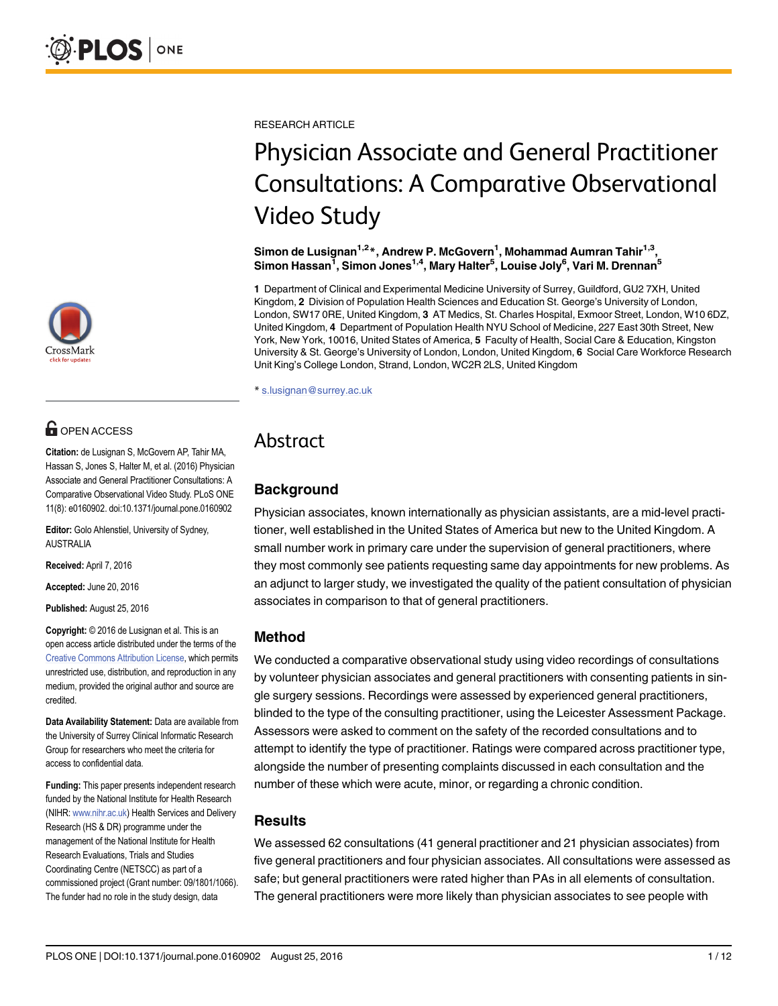

# **OPEN ACCESS**

Citation: de Lusignan S, McGovern AP, Tahir MA, Hassan S, Jones S, Halter M, et al. (2016) Physician Associate and General Practitioner Consultations: A Comparative Observational Video Study. PLoS ONE 11(8): e0160902. doi:10.1371/journal.pone.0160902

Editor: Golo Ahlenstiel, University of Sydney, AUSTRALIA

Received: April 7, 2016

Accepted: June 20, 2016

Published: August 25, 2016

Copyright: © 2016 de Lusignan et al. This is an open access article distributed under the terms of the [Creative Commons Attribution License,](http://creativecommons.org/licenses/by/4.0/) which permits unrestricted use, distribution, and reproduction in any medium, provided the original author and source are credited.

Data Availability Statement: Data are available from the University of Surrey Clinical Informatic Research Group for researchers who meet the criteria for access to confidential data.

Funding: This paper presents independent research funded by the National Institute for Health Research (NIHR: [www.nihr.ac.uk\)](http://www.nihr.ac.uk) Health Services and Delivery Research (HS & DR) programme under the management of the National Institute for Health Research Evaluations, Trials and Studies Coordinating Centre (NETSCC) as part of a commissioned project (Grant number: 09/1801/1066). The funder had no role in the study design, data

RESEARCH ARTICLE

# Physician Associate and General Practitioner Consultations: A Comparative Observational Video Study

Simon de Lusignan<sup>1,2</sup>\*, Andrew P. McGovern<sup>1</sup>, Mohammad Aumran Tahir<sup>1,3</sup>, Simon Hassan<sup>1</sup>, Simon Jones<sup>1,4</sup>, Mary Halter<sup>5</sup>, Louise Joly<sup>6</sup>, Vari M. Drennan<sup>5</sup>

1 Department of Clinical and Experimental Medicine University of Surrey, Guildford, GU2 7XH, United Kingdom, 2 Division of Population Health Sciences and Education St. George's University of London, London, SW17 0RE, United Kingdom, 3 AT Medics, St. Charles Hospital, Exmoor Street, London, W10 6DZ, United Kingdom, 4 Department of Population Health NYU School of Medicine, 227 East 30th Street, New York, New York, 10016, United States of America, 5 Faculty of Health, Social Care & Education, Kingston University & St. George's University of London, London, United Kingdom, 6 Social Care Workforce Research Unit King's College London, Strand, London, WC2R 2LS, United Kingdom

\* s.lusignan@surrey.ac.uk

# Abstract

# **Background**

Physician associates, known internationally as physician assistants, are a mid-level practitioner, well established in the United States of America but new to the United Kingdom. A small number work in primary care under the supervision of general practitioners, where they most commonly see patients requesting same day appointments for new problems. As an adjunct to larger study, we investigated the quality of the patient consultation of physician associates in comparison to that of general practitioners.

### Method

We conducted a comparative observational study using video recordings of consultations by volunteer physician associates and general practitioners with consenting patients in single surgery sessions. Recordings were assessed by experienced general practitioners, blinded to the type of the consulting practitioner, using the Leicester Assessment Package. Assessors were asked to comment on the safety of the recorded consultations and to attempt to identify the type of practitioner. Ratings were compared across practitioner type, alongside the number of presenting complaints discussed in each consultation and the number of these which were acute, minor, or regarding a chronic condition.

#### Results

We assessed 62 consultations (41 general practitioner and 21 physician associates) from five general practitioners and four physician associates. All consultations were assessed as safe; but general practitioners were rated higher than PAs in all elements of consultation. The general practitioners were more likely than physician associates to see people with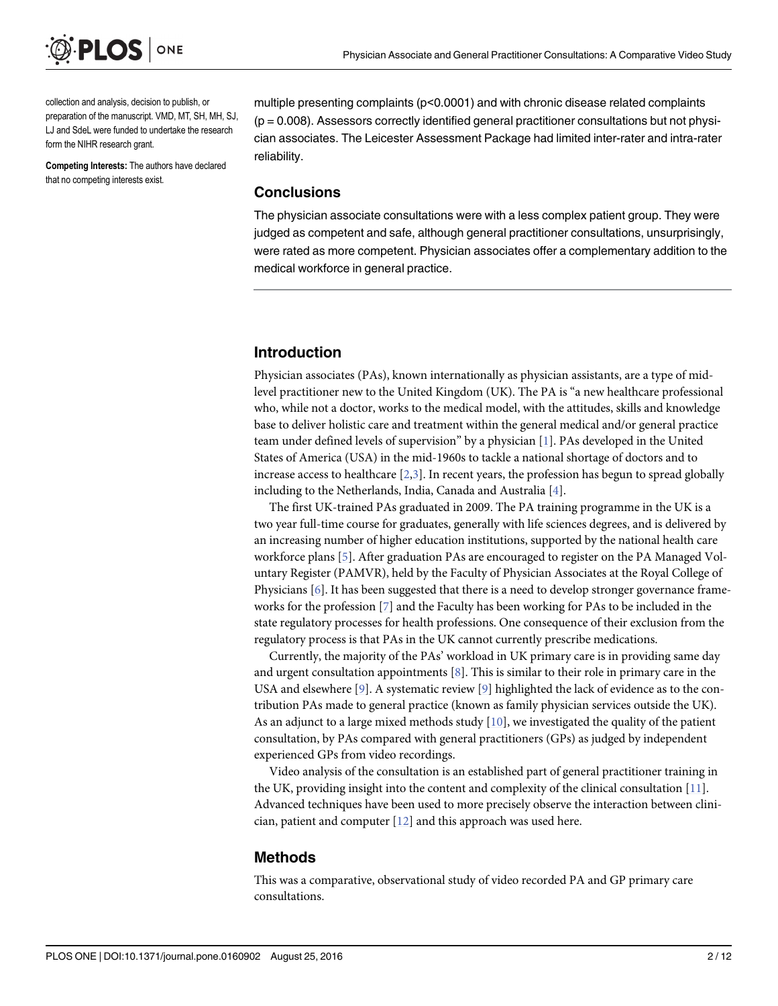<span id="page-1-0"></span>

collection and analysis, decision to publish, or preparation of the manuscript. VMD, MT, SH, MH, SJ, LJ and SdeL were funded to undertake the research form the NIHR research grant.

Competing Interests: The authors have declared that no competing interests exist.

multiple presenting complaints (p<0.0001) and with chronic disease related complaints  $(p = 0.008)$ . Assessors correctly identified general practitioner consultations but not physician associates. The Leicester Assessment Package had limited inter-rater and intra-rater reliability.

#### Conclusions

The physician associate consultations were with a less complex patient group. They were judged as competent and safe, although general practitioner consultations, unsurprisingly, were rated as more competent. Physician associates offer a complementary addition to the medical workforce in general practice.

#### Introduction

Physician associates (PAs), known internationally as physician assistants, are a type of midlevel practitioner new to the United Kingdom (UK). The PA is "a new healthcare professional who, while not a doctor, works to the medical model, with the attitudes, skills and knowledge base to deliver holistic care and treatment within the general medical and/or general practice team under defined levels of supervision" by a physician [[1](#page-9-0)]. PAs developed in the United States of America (USA) in the mid-1960s to tackle a national shortage of doctors and to increase access to healthcare [[2,3\]](#page-9-0). In recent years, the profession has begun to spread globally including to the Netherlands, India, Canada and Australia [\[4\]](#page-9-0).

The first UK-trained PAs graduated in 2009. The PA training programme in the UK is a two year full-time course for graduates, generally with life sciences degrees, and is delivered by an increasing number of higher education institutions, supported by the national health care workforce plans [\[5](#page-9-0)]. After graduation PAs are encouraged to register on the PA Managed Voluntary Register (PAMVR), held by the Faculty of Physician Associates at the Royal College of Physicians [[6](#page-9-0)]. It has been suggested that there is a need to develop stronger governance frameworks for the profession [[7](#page-9-0)] and the Faculty has been working for PAs to be included in the state regulatory processes for health professions. One consequence of their exclusion from the regulatory process is that PAs in the UK cannot currently prescribe medications.

Currently, the majority of the PAs' workload in UK primary care is in providing same day and urgent consultation appointments  $[8]$  $[8]$ . This is similar to their role in primary care in the USA and elsewhere  $[9]$  $[9]$  $[9]$ . A systematic review  $[9]$  $[9]$  highlighted the lack of evidence as to the contribution PAs made to general practice (known as family physician services outside the UK). As an adjunct to a large mixed methods study  $[10]$ , we investigated the quality of the patient consultation, by PAs compared with general practitioners (GPs) as judged by independent experienced GPs from video recordings.

Video analysis of the consultation is an established part of general practitioner training in the UK, providing insight into the content and complexity of the clinical consultation  $[11]$  $[11]$ . Advanced techniques have been used to more precisely observe the interaction between clinician, patient and computer  $[12]$  $[12]$  and this approach was used here.

#### Methods

This was a comparative, observational study of video recorded PA and GP primary care consultations.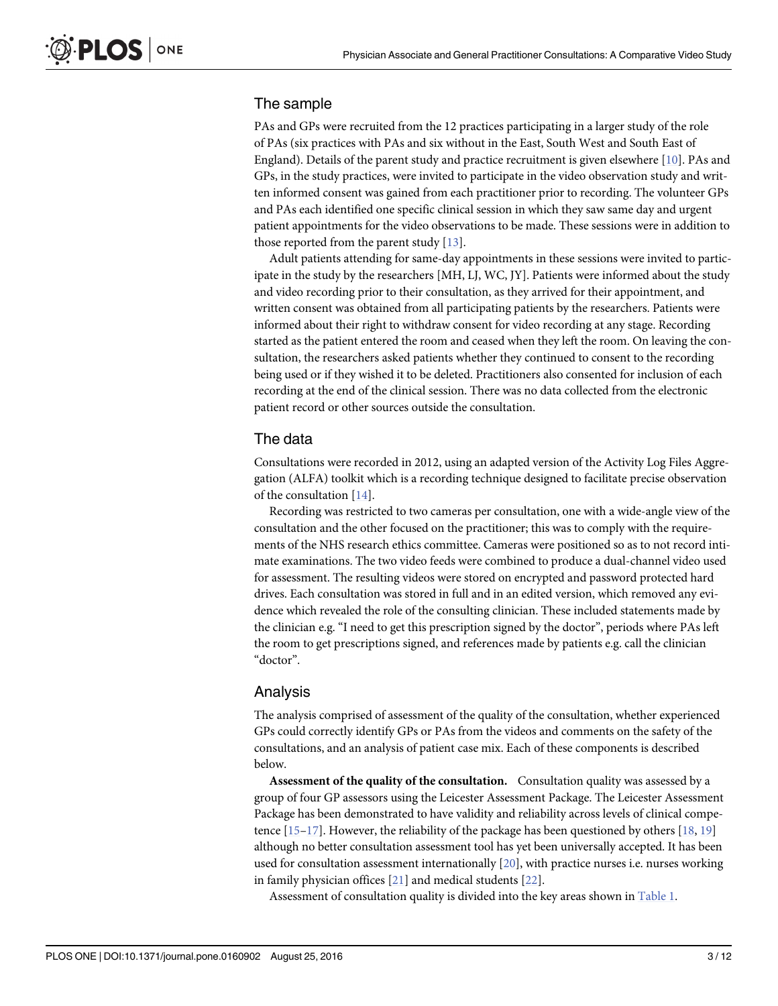## <span id="page-2-0"></span>The sample

PAs and GPs were recruited from the 12 practices participating in a larger study of the role of PAs (six practices with PAs and six without in the East, South West and South East of England). Details of the parent study and practice recruitment is given elsewhere [\[10\]](#page-10-0). PAs and GPs, in the study practices, were invited to participate in the video observation study and written informed consent was gained from each practitioner prior to recording. The volunteer GPs and PAs each identified one specific clinical session in which they saw same day and urgent patient appointments for the video observations to be made. These sessions were in addition to those reported from the parent study  $[13]$  $[13]$  $[13]$ .

Adult patients attending for same-day appointments in these sessions were invited to participate in the study by the researchers [MH, LJ, WC, JY]. Patients were informed about the study and video recording prior to their consultation, as they arrived for their appointment, and written consent was obtained from all participating patients by the researchers. Patients were informed about their right to withdraw consent for video recording at any stage. Recording started as the patient entered the room and ceased when they left the room. On leaving the consultation, the researchers asked patients whether they continued to consent to the recording being used or if they wished it to be deleted. Practitioners also consented for inclusion of each recording at the end of the clinical session. There was no data collected from the electronic patient record or other sources outside the consultation.

#### The data

Consultations were recorded in 2012, using an adapted version of the Activity Log Files Aggregation (ALFA) toolkit which is a recording technique designed to facilitate precise observation of the consultation [[14](#page-10-0)].

Recording was restricted to two cameras per consultation, one with a wide-angle view of the consultation and the other focused on the practitioner; this was to comply with the requirements of the NHS research ethics committee. Cameras were positioned so as to not record intimate examinations. The two video feeds were combined to produce a dual-channel video used for assessment. The resulting videos were stored on encrypted and password protected hard drives. Each consultation was stored in full and in an edited version, which removed any evidence which revealed the role of the consulting clinician. These included statements made by the clinician e.g. "I need to get this prescription signed by the doctor", periods where PAs left the room to get prescriptions signed, and references made by patients e.g. call the clinician "doctor".

#### Analysis

The analysis comprised of assessment of the quality of the consultation, whether experienced GPs could correctly identify GPs or PAs from the videos and comments on the safety of the consultations, and an analysis of patient case mix. Each of these components is described below.

Assessment of the quality of the consultation. Consultation quality was assessed by a group of four GP assessors using the Leicester Assessment Package. The Leicester Assessment Package has been demonstrated to have validity and reliability across levels of clinical competence  $[15-17]$  $[15-17]$  $[15-17]$  $[15-17]$ . However, the reliability of the package has been questioned by others  $[18, 19]$  $[18, 19]$  $[18, 19]$ although no better consultation assessment tool has yet been universally accepted. It has been used for consultation assessment internationally  $[20]$ , with practice nurses i.e. nurses working in family physician offices [[21](#page-10-0)] and medical students [[22](#page-10-0)].

Assessment of consultation quality is divided into the key areas shown in [Table 1](#page-3-0).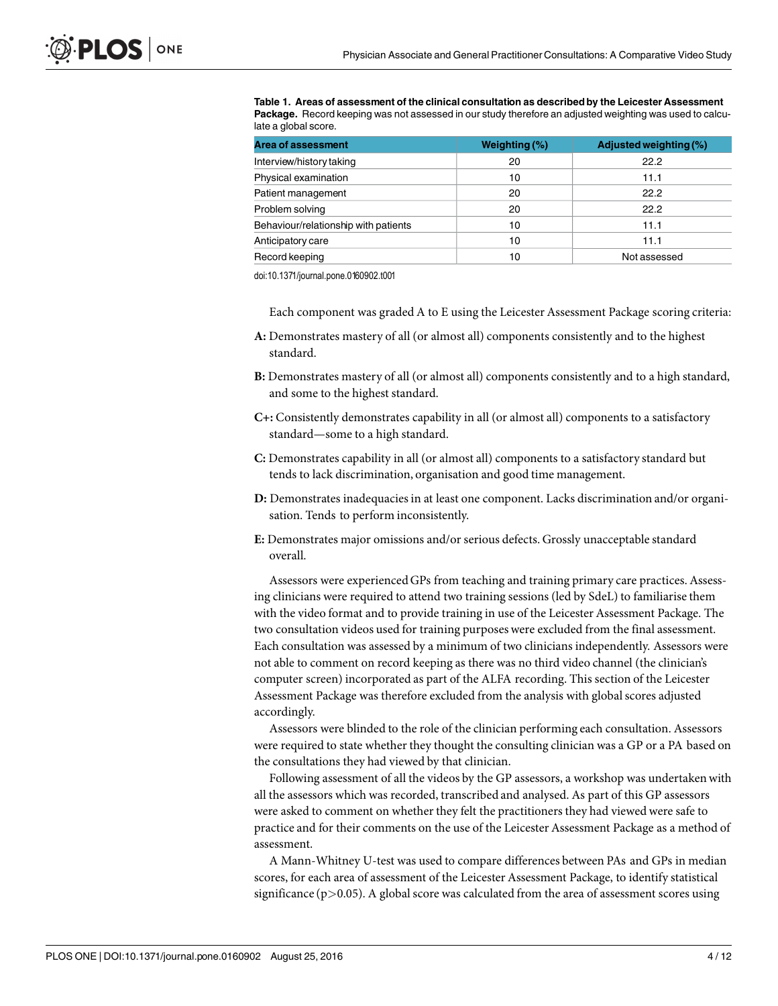<span id="page-3-0"></span>**[Table 1.](#page-2-0) Areas of assessment of the clinical consultation as described by the Leicester Assessment Package.** Record keeping was not assessed in our study therefore an adjusted weighting was used to calculate a global score.

| <b>Area of assessment</b>            | Weighting (%) | Adjusted weighting (%) |
|--------------------------------------|---------------|------------------------|
| Interview/history taking             | 20            | 22.2                   |
| Physical examination                 | 10            | 11.1                   |
| Patient management                   | 20            | 22.2                   |
| Problem solving                      | 20            | 22.2                   |
| Behaviour/relationship with patients | 10            | 11.1                   |
| Anticipatory care                    | 10            | 11.1                   |
| Record keeping                       | 10            | Not assessed           |

doi:10.1371/journal.pone.0160902.t001

Each component was graded A to E using the Leicester Assessment Package scoring criteria:

- **A:** Demonstrates mastery of all (or almost all) components consistently and to the highest standard.
- **B:** Demonstrates mastery of all (or almost all) components consistently and to a high standard, and some to the highest standard.
- **C+:** Consistently demonstrates capability in all (or almost all) components to a satisfactory standard—some to a high standard.
- **C:** Demonstrates capability in all (or almost all) components to a satisfactory standard but tends to lack discrimination, organisation and good time management.
- **D:** Demonstrates inadequacies in at least one component. Lacks discrimination and/or organisation. Tends to perform inconsistently.
- **E:** Demonstrates major omissions and/or serious defects. Grossly unacceptable standard overall.

Assessors were experienced GPs from teaching and training primary care practices. Assessing clinicians were required to attend two training sessions (led by SdeL) to familiarise them with the video format and to provide training in use of the Leicester Assessment Package. The two consultation videos used for training purposes were excluded from the final assessment. Each consultation was assessed by a minimum of two clinicians independently. Assessors were not able to comment on record keeping as there was no third video channel (the clinician's computer screen) incorporated as part of the ALFA recording. This section of the Leicester Assessment Package was therefore excluded from the analysis with global scores adjusted accordingly.

Assessors were blinded to the role of the clinician performing each consultation. Assessors were required to state whether they thought the consulting clinician was a GP or a PA based on the consultations they had viewed by that clinician.

Following assessment of all the videos by the GP assessors, a workshop was undertaken with all the assessors which was recorded, transcribed and analysed. As part of this GP assessors were asked to comment on whether they felt the practitioners they had viewed were safe to practice and for their comments on the use of the Leicester Assessment Package as a method of assessment.

A Mann-Whitney U-test was used to compare differences between PAs and GPs in median scores, for each area of assessment of the Leicester Assessment Package, to identify statistical significance (p*>*0.05). A global score was calculated from the area of assessment scores using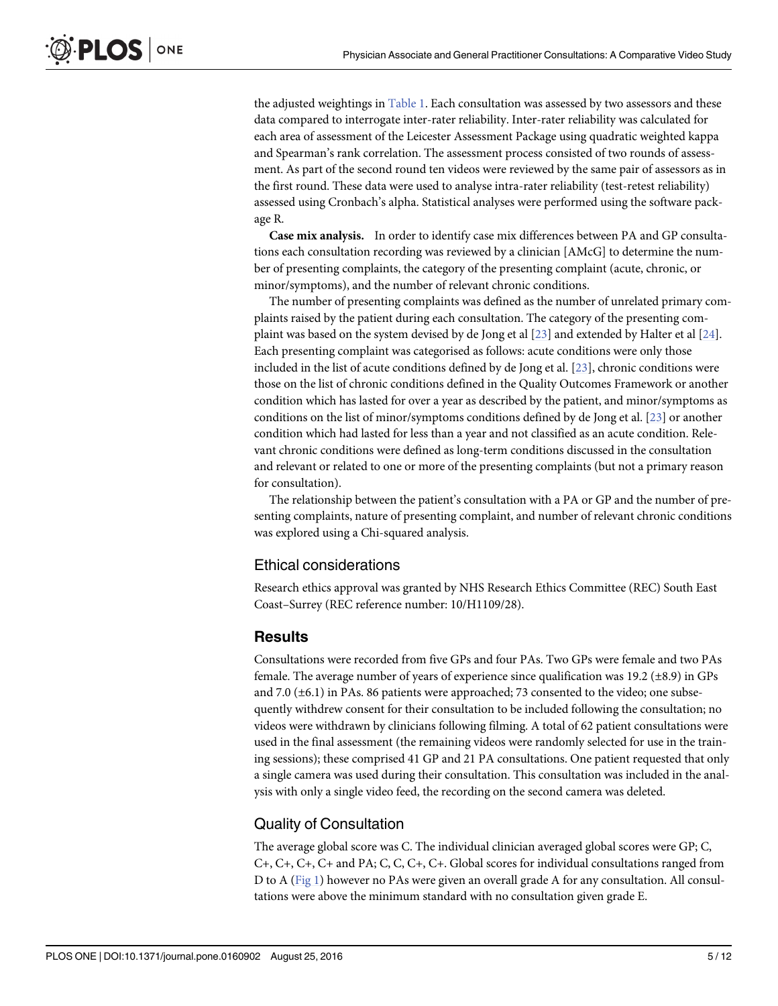<span id="page-4-0"></span>the adjusted weightings in [Table 1.](#page-3-0) Each consultation was assessed by two assessors and these data compared to interrogate inter-rater reliability. Inter-rater reliability was calculated for each area of assessment of the Leicester Assessment Package using quadratic weighted kappa and Spearman's rank correlation. The assessment process consisted of two rounds of assessment. As part of the second round ten videos were reviewed by the same pair of assessors as in the first round. These data were used to analyse intra-rater reliability (test-retest reliability) assessed using Cronbach's alpha. Statistical analyses were performed using the software package R.

Case mix analysis. In order to identify case mix differences between PA and GP consultations each consultation recording was reviewed by a clinician [AMcG] to determine the number of presenting complaints, the category of the presenting complaint (acute, chronic, or minor/symptoms), and the number of relevant chronic conditions.

The number of presenting complaints was defined as the number of unrelated primary complaints raised by the patient during each consultation. The category of the presenting complaint was based on the system devised by de Jong et al  $[23]$  and extended by Halter et al  $[24]$ . Each presenting complaint was categorised as follows: acute conditions were only those included in the list of acute conditions defined by de Jong et al. [\[23\]](#page-10-0), chronic conditions were those on the list of chronic conditions defined in the Quality Outcomes Framework or another condition which has lasted for over a year as described by the patient, and minor/symptoms as conditions on the list of minor/symptoms conditions defined by de Jong et al. [[23](#page-10-0)] or another condition which had lasted for less than a year and not classified as an acute condition. Relevant chronic conditions were defined as long-term conditions discussed in the consultation and relevant or related to one or more of the presenting complaints (but not a primary reason for consultation).

The relationship between the patient's consultation with a PA or GP and the number of presenting complaints, nature of presenting complaint, and number of relevant chronic conditions was explored using a Chi-squared analysis.

#### Ethical considerations

Research ethics approval was granted by NHS Research Ethics Committee (REC) South East Coast–Surrey (REC reference number: 10/H1109/28).

#### Results

Consultations were recorded from five GPs and four PAs. Two GPs were female and two PAs female. The average number of years of experience since qualification was 19.2 (±8.9) in GPs and 7.0 (±6.1) in PAs. 86 patients were approached; 73 consented to the video; one subsequently withdrew consent for their consultation to be included following the consultation; no videos were withdrawn by clinicians following filming. A total of 62 patient consultations were used in the final assessment (the remaining videos were randomly selected for use in the training sessions); these comprised 41 GP and 21 PA consultations. One patient requested that only a single camera was used during their consultation. This consultation was included in the analysis with only a single video feed, the recording on the second camera was deleted.

#### Quality of Consultation

The average global score was C. The individual clinician averaged global scores were GP; C, C+, C+, C+, C+ and PA; C, C, C+, C+. Global scores for individual consultations ranged from D to A [\(Fig 1\)](#page-5-0) however no PAs were given an overall grade A for any consultation. All consultations were above the minimum standard with no consultation given grade E.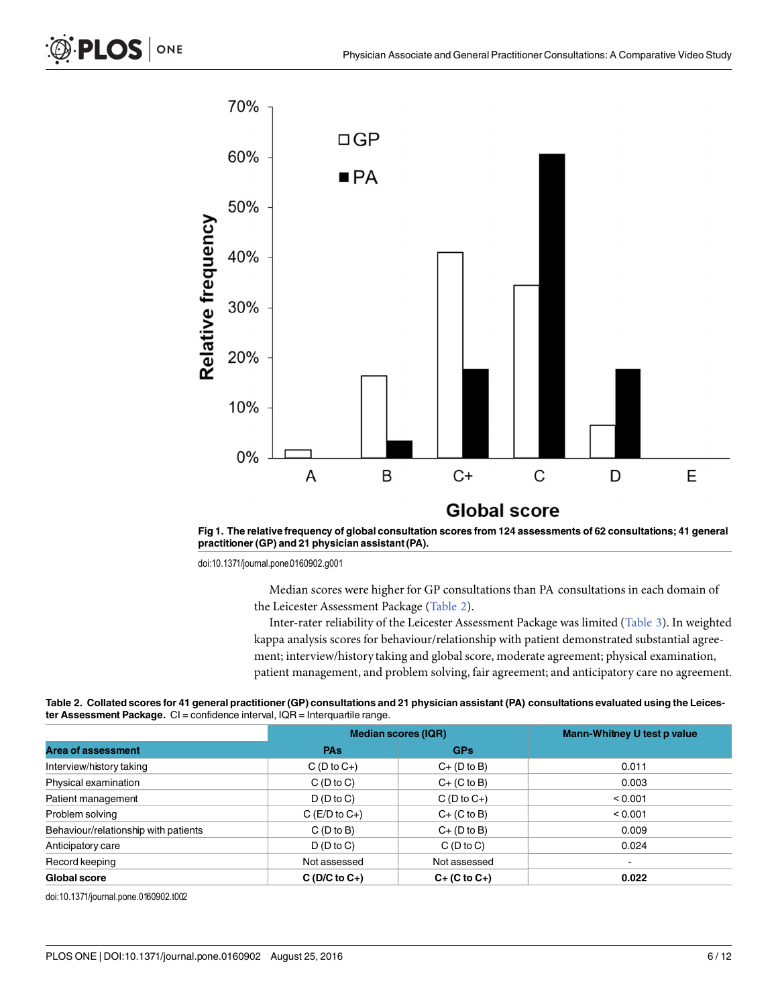<span id="page-5-0"></span>

**[Fig 1. T](#page-4-0)he relative frequency of global consultation scores from 124 assessments of 62 consultations; 41 general practitioner (GP) and 21 physician assistant (PA).**

doi:10.1371/journal.pone.0160902.g001

Median scores were higher for GP consultations than PA consultations in each domain of the Leicester Assessment Package (Table 2).

Inter-rater reliability of the Leicester Assessment Package was limited ([Table 3](#page-6-0)). In weighted kappa analysis scores for behaviour/relationship with patient demonstrated substantial agreement; interview/history taking and global score, moderate agreement; physical examination, patient management, and problem solving, fair agreement; and anticipatory care no agreement.



|                                      | <b>Median scores (IQR)</b>                   |                     | Mann-Whitney U test p value |
|--------------------------------------|----------------------------------------------|---------------------|-----------------------------|
| <b>Area of assessment</b>            | <b>PAs</b>                                   | <b>GPs</b>          |                             |
| Interview/history taking             | $C(D \text{ to } C+)$                        | $C+$ (D to B)       | 0.011                       |
| Physical examination                 | $C(D \text{ to } C)$                         | $C+$ (C to B)       | 0.003                       |
| Patient management                   | $D(D \text{ to } C)$                         | $C$ (D to $C_{+}$ ) | < 0.001                     |
| Problem solving                      | $C$ (E/D to $C_{+}$ )                        | $C+$ (C to B)       | < 0.001                     |
| Behaviour/relationship with patients | $C(D \text{ to } B)$                         | $C+$ (D to B)       | 0.009                       |
| Anticipatory care                    | $D(D \text{ to } C)$<br>$C(D \text{ to } C)$ |                     | 0.024                       |
| Record keeping                       | Not assessed                                 | Not assessed        | $\overline{\phantom{a}}$    |
| Global score                         | $C$ (D/C to $C_{+}$ )                        | $C+$ (C to $C+$ )   | 0.022                       |

doi:10.1371/journal.pone.0160902.t002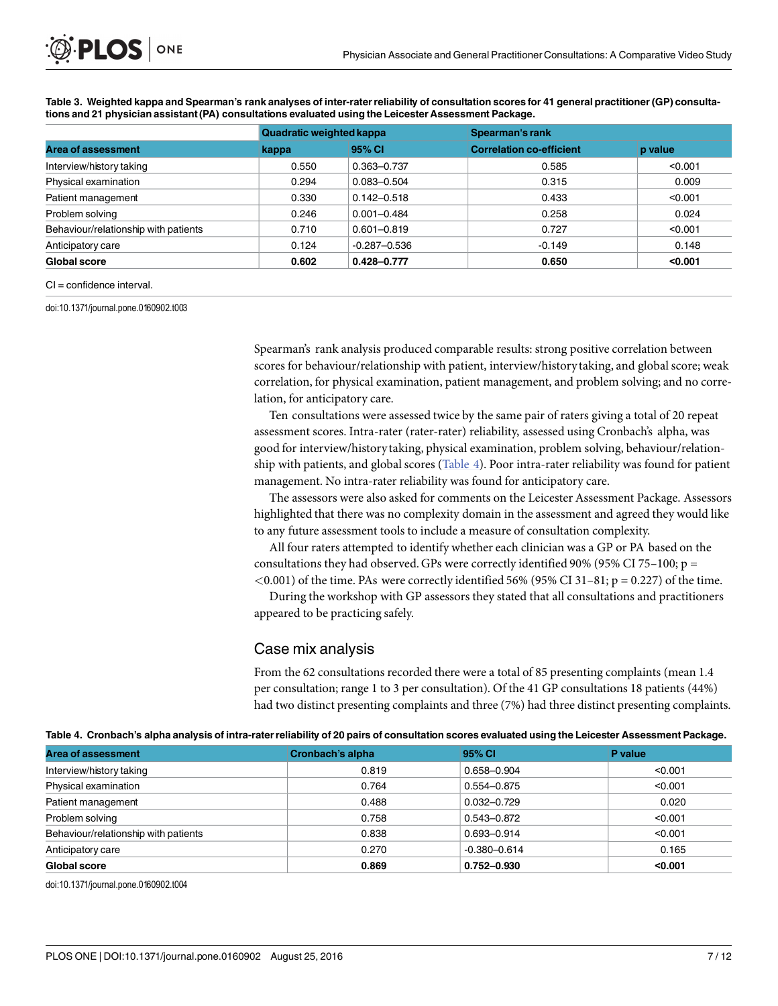<span id="page-6-0"></span>

|                                      | Quadratic weighted kappa |                  | Spearman's rank                 |         |  |
|--------------------------------------|--------------------------|------------------|---------------------------------|---------|--|
| Area of assessment                   | kappa                    | 95% CI           | <b>Correlation co-efficient</b> | p value |  |
| Interview/history taking             | 0.550                    | 0.363-0.737      | 0.585                           | < 0.001 |  |
| Physical examination                 | 0.294                    | $0.083 - 0.504$  | 0.315                           | 0.009   |  |
| Patient management                   | 0.330                    | $0.142 - 0.518$  | 0.433                           | < 0.001 |  |
| Problem solving                      | 0.246                    | $0.001 - 0.484$  | 0.258                           | 0.024   |  |
| Behaviour/relationship with patients | 0.710                    | $0.601 - 0.819$  | 0.727                           | < 0.001 |  |
| Anticipatory care                    | 0.124                    | $-0.287 - 0.536$ | $-0.149$                        | 0.148   |  |
| <b>Global score</b>                  | 0.602                    | $0.428 - 0.777$  | 0.650                           | < 0.001 |  |

**[Table 3.](#page-5-0) Weighted kappa and Spearman's rank analyses of inter-rater reliability of consultation scores for 41 general practitioner (GP) consultations and 21 physician assistant (PA) consultations evaluated using the Leicester Assessment Package.**

CI = confidence interval.

doi:10.1371/journal.pone.0160902.t003

Spearman's rank analysis produced comparable results: strong positive correlation between scores for behaviour/relationship with patient, interview/history taking, and global score; weak correlation, for physical examination, patient management, and problem solving; and no correlation, for anticipatory care.

Ten consultations were assessed twice by the same pair of raters giving a total of 20 repeat assessment scores. Intra-rater (rater-rater) reliability, assessed using Cronbach's alpha, was good for interview/history taking, physical examination, problem solving, behaviour/relationship with patients, and global scores (Table 4). Poor intra-rater reliability was found for patient management. No intra-rater reliability was found for anticipatory care.

The assessors were also asked for comments on the Leicester Assessment Package. Assessors highlighted that there was no complexity domain in the assessment and agreed they would like to any future assessment tools to include a measure of consultation complexity.

All four raters attempted to identify whether each clinician was a GP or PA based on the consultations they had observed. GPs were correctly identified 90% (95% CI 75–100; p =  $\langle$ 0.001) of the time. PAs were correctly identified 56% (95% CI 31–81; p = 0.227) of the time.

During the workshop with GP assessors they stated that all consultations and practitioners appeared to be practicing safely.

#### Case mix analysis

From the 62 consultations recorded there were a total of 85 presenting complaints (mean 1.4 per consultation; range 1 to 3 per consultation). Of the 41 GP consultations 18 patients (44%) had two distinct presenting complaints and three (7%) had three distinct presenting complaints.

| Cronbach's alpha | 95% CI           | P value |  |  |  |  |
|------------------|------------------|---------|--|--|--|--|
| 0.819            | $0.658 - 0.904$  | < 0.001 |  |  |  |  |
| 0.764            | $0.554 - 0.875$  | < 0.001 |  |  |  |  |
| 0.488            | $0.032 - 0.729$  | 0.020   |  |  |  |  |
| 0.758            | $0.543 - 0.872$  | < 0.001 |  |  |  |  |
| 0.838            | $0.693 - 0.914$  | < 0.001 |  |  |  |  |
| 0.270            | $-0.380 - 0.614$ | 0.165   |  |  |  |  |
| 0.869            | $0.752 - 0.930$  | < 0.001 |  |  |  |  |
|                  |                  |         |  |  |  |  |

**Table 4. Cronbach's alpha analysis of intra-raterreliability of 20 pairs of consultation scores evaluated using the Leicester Assessment Package.**

doi:10.1371/journal.pone.0160902.t004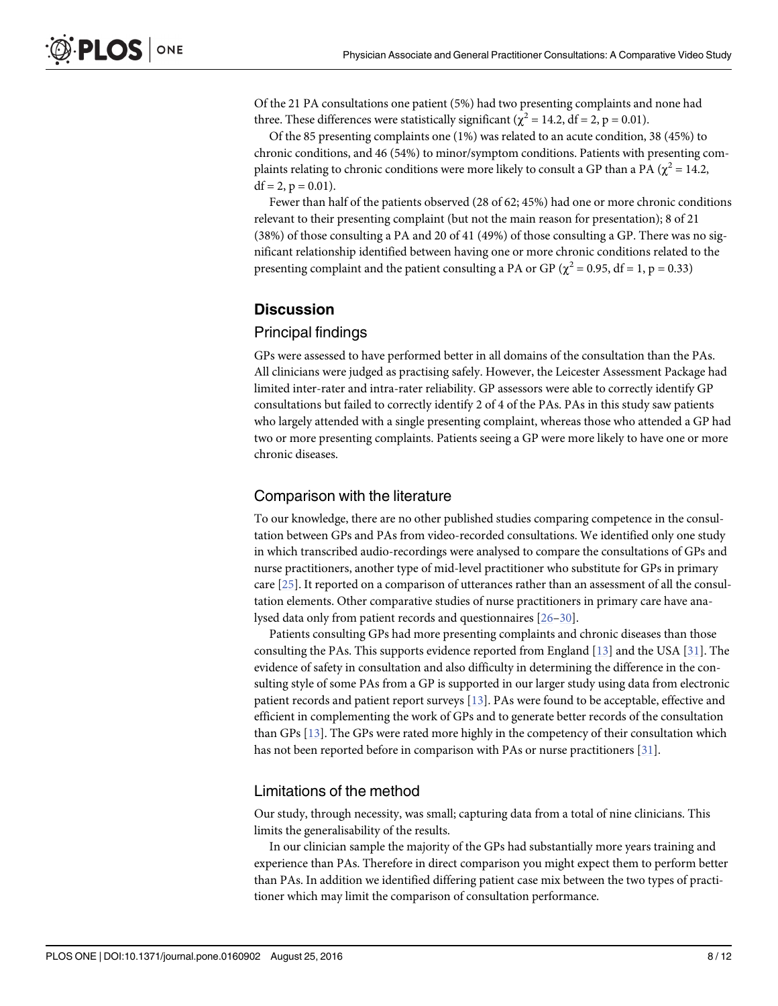<span id="page-7-0"></span>Of the 21 PA consultations one patient (5%) had two presenting complaints and none had three. These differences were statistically significant ( $\chi^2 = 14.2$ , df = 2, p = 0.01).

Of the 85 presenting complaints one (1%) was related to an acute condition, 38 (45%) to chronic conditions, and 46 (54%) to minor/symptom conditions. Patients with presenting complaints relating to chronic conditions were more likely to consult a GP than a PA ( $\chi^2$  = 14.2,  $df = 2$ ,  $p = 0.01$ ).

Fewer than half of the patients observed (28 of 62; 45%) had one or more chronic conditions relevant to their presenting complaint (but not the main reason for presentation); 8 of 21 (38%) of those consulting a PA and 20 of 41 (49%) of those consulting a GP. There was no significant relationship identified between having one or more chronic conditions related to the presenting complaint and the patient consulting a PA or GP ( $\chi^2$  = 0.95, df = 1, p = 0.33)

#### **Discussion**

#### Principal findings

GPs were assessed to have performed better in all domains of the consultation than the PAs. All clinicians were judged as practising safely. However, the Leicester Assessment Package had limited inter-rater and intra-rater reliability. GP assessors were able to correctly identify GP consultations but failed to correctly identify 2 of 4 of the PAs. PAs in this study saw patients who largely attended with a single presenting complaint, whereas those who attended a GP had two or more presenting complaints. Patients seeing a GP were more likely to have one or more chronic diseases.

#### Comparison with the literature

To our knowledge, there are no other published studies comparing competence in the consultation between GPs and PAs from video-recorded consultations. We identified only one study in which transcribed audio-recordings were analysed to compare the consultations of GPs and nurse practitioners, another type of mid-level practitioner who substitute for GPs in primary care [[25\]](#page-10-0). It reported on a comparison of utterances rather than an assessment of all the consultation elements. Other comparative studies of nurse practitioners in primary care have analysed data only from patient records and questionnaires [[26](#page-10-0)–[30](#page-11-0)].

Patients consulting GPs had more presenting complaints and chronic diseases than those consulting the PAs. This supports evidence reported from England  $[13]$  $[13]$  $[13]$  and the USA  $[31]$ . The evidence of safety in consultation and also difficulty in determining the difference in the consulting style of some PAs from a GP is supported in our larger study using data from electronic patient records and patient report surveys [\[13\]](#page-10-0). PAs were found to be acceptable, effective and efficient in complementing the work of GPs and to generate better records of the consultation than GPs [\[13\]](#page-10-0). The GPs were rated more highly in the competency of their consultation which has not been reported before in comparison with PAs or nurse practitioners [[31](#page-11-0)].

#### Limitations of the method

Our study, through necessity, was small; capturing data from a total of nine clinicians. This limits the generalisability of the results.

In our clinician sample the majority of the GPs had substantially more years training and experience than PAs. Therefore in direct comparison you might expect them to perform better than PAs. In addition we identified differing patient case mix between the two types of practitioner which may limit the comparison of consultation performance.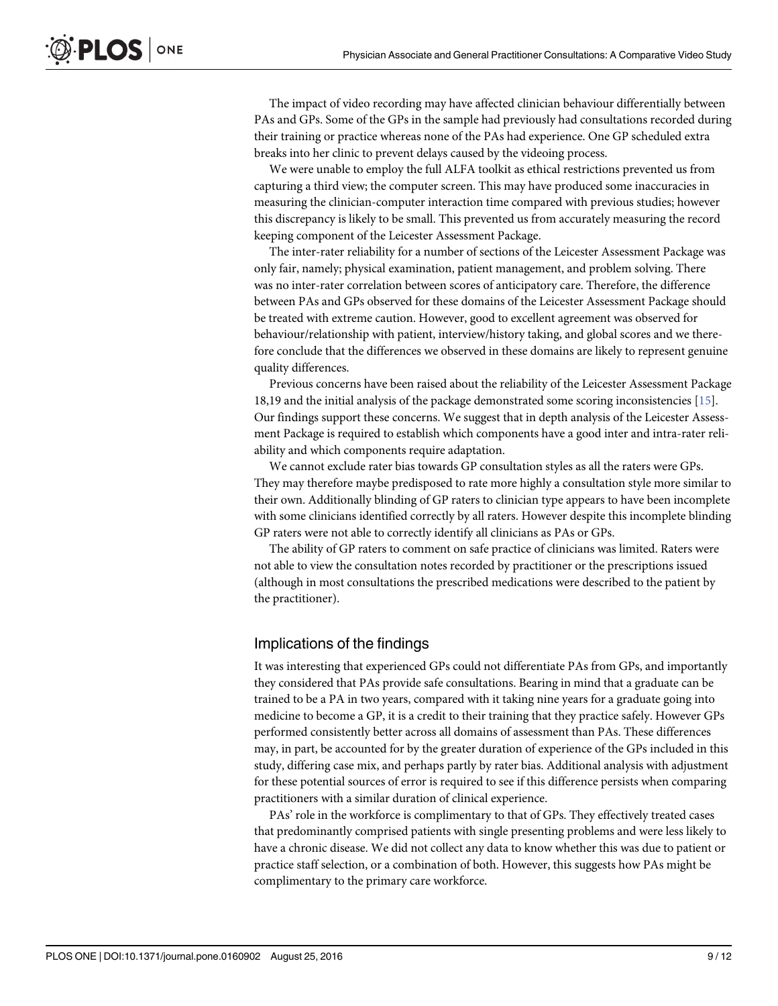The impact of video recording may have affected clinician behaviour differentially between PAs and GPs. Some of the GPs in the sample had previously had consultations recorded during their training or practice whereas none of the PAs had experience. One GP scheduled extra breaks into her clinic to prevent delays caused by the videoing process.

We were unable to employ the full ALFA toolkit as ethical restrictions prevented us from capturing a third view; the computer screen. This may have produced some inaccuracies in measuring the clinician-computer interaction time compared with previous studies; however this discrepancy is likely to be small. This prevented us from accurately measuring the record keeping component of the Leicester Assessment Package.

The inter-rater reliability for a number of sections of the Leicester Assessment Package was only fair, namely; physical examination, patient management, and problem solving. There was no inter-rater correlation between scores of anticipatory care. Therefore, the difference between PAs and GPs observed for these domains of the Leicester Assessment Package should be treated with extreme caution. However, good to excellent agreement was observed for behaviour/relationship with patient, interview/history taking, and global scores and we therefore conclude that the differences we observed in these domains are likely to represent genuine quality differences.

Previous concerns have been raised about the reliability of the Leicester Assessment Package 18,19 and the initial analysis of the package demonstrated some scoring inconsistencies [\[15\]](#page-10-0). Our findings support these concerns. We suggest that in depth analysis of the Leicester Assessment Package is required to establish which components have a good inter and intra-rater reliability and which components require adaptation.

We cannot exclude rater bias towards GP consultation styles as all the raters were GPs. They may therefore maybe predisposed to rate more highly a consultation style more similar to their own. Additionally blinding of GP raters to clinician type appears to have been incomplete with some clinicians identified correctly by all raters. However despite this incomplete blinding GP raters were not able to correctly identify all clinicians as PAs or GPs.

The ability of GP raters to comment on safe practice of clinicians was limited. Raters were not able to view the consultation notes recorded by practitioner or the prescriptions issued (although in most consultations the prescribed medications were described to the patient by the practitioner).

#### Implications of the findings

It was interesting that experienced GPs could not differentiate PAs from GPs, and importantly they considered that PAs provide safe consultations. Bearing in mind that a graduate can be trained to be a PA in two years, compared with it taking nine years for a graduate going into medicine to become a GP, it is a credit to their training that they practice safely. However GPs performed consistently better across all domains of assessment than PAs. These differences may, in part, be accounted for by the greater duration of experience of the GPs included in this study, differing case mix, and perhaps partly by rater bias. Additional analysis with adjustment for these potential sources of error is required to see if this difference persists when comparing practitioners with a similar duration of clinical experience.

PAs' role in the workforce is complimentary to that of GPs. They effectively treated cases that predominantly comprised patients with single presenting problems and were less likely to have a chronic disease. We did not collect any data to know whether this was due to patient or practice staff selection, or a combination of both. However, this suggests how PAs might be complimentary to the primary care workforce.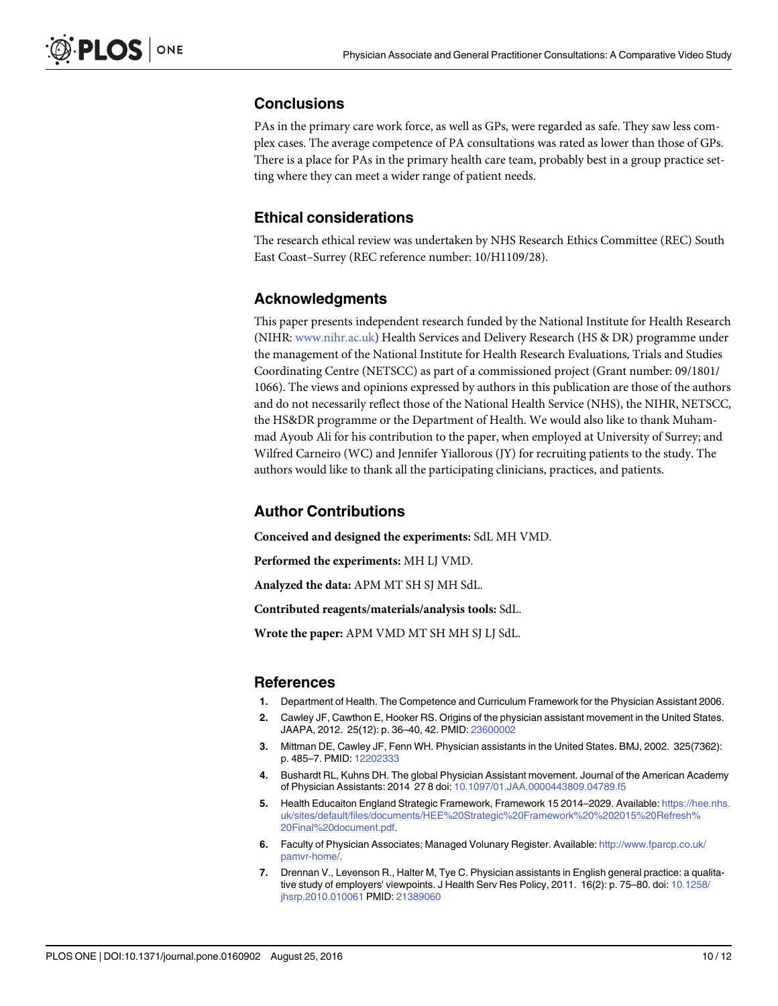# <span id="page-9-0"></span>**Conclusions**

PAs in the primary care work force, as well as GPs, were regarded as safe. They saw less complex cases. The average competence of PA consultations was rated as lower than those of GPs. There is a place for PAs in the primary health care team, probably best in a group practice setting where they can meet a wider range of patient needs.

# Ethical considerations

The research ethical review was undertaken by NHS Research Ethics Committee (REC) South East Coast–Surrey (REC reference number: 10/H1109/28).

# Acknowledgments

This paper presents independent research funded by the National Institute for Health Research (NIHR: [www.nihr.ac.uk\)](http://www.nihr.ac.uk) Health Services and Delivery Research (HS & DR) programme under the management of the National Institute for Health Research Evaluations, Trials and Studies Coordinating Centre (NETSCC) as part of a commissioned project (Grant number: 09/1801/ 1066). The views and opinions expressed by authors in this publication are those of the authors and do not necessarily reflect those of the National Health Service (NHS), the NIHR, NETSCC, the HS&DR programme or the Department of Health. We would also like to thank Muhammad Ayoub Ali for his contribution to the paper, when employed at University of Surrey; and Wilfred Carneiro (WC) and Jennifer Yiallorous (JY) for recruiting patients to the study. The authors would like to thank all the participating clinicians, practices, and patients.

# Author Contributions

Conceived and designed the experiments: SdL MH VMD.

Performed the experiments: MH LJ VMD.

Analyzed the data: APM MT SH SJ MH SdL.

Contributed reagents/materials/analysis tools: SdL.

Wrote the paper: APM VMD MT SH MH SJ LJ SdL.

#### References

- [1.](#page-1-0) Department of Health. The Competence and Curriculum Framework for the Physician Assistant 2006.
- [2.](#page-1-0) Cawley JF, Cawthon E, Hooker RS. Origins of the physician assistant movement in the United States. JAAPA, 2012. 25(12): p. 36–40, 42. PMID: [23600002](http://www.ncbi.nlm.nih.gov/pubmed/23600002)
- [3.](#page-1-0) Mittman DE, Cawley JF, Fenn WH. Physician assistants in the United States. BMJ, 2002. 325(7362): p. 485–7. PMID: [12202333](http://www.ncbi.nlm.nih.gov/pubmed/12202333)
- [4.](#page-1-0) Bushardt RL, Kuhns DH. The global Physician Assistant movement. Journal of the American Academy of Physician Assistants: 2014 27 8 doi: [10.1097/01.JAA.0000443809.04789.f5](http://dx.doi.org/10.1097/01.JAA.0000443809.04789.f5)
- [5.](#page-1-0) Health Educaiton England Strategic Framework, Framework 15 2014–2029. Available: [https://hee.nhs.](https://hee.nhs.uk/sites/default/files/documents/HEE%20Strategic%20Framework%20%202015%20Refresh%20Final%20document.pdf) [uk/sites/default/files/documents/HEE%20Strategic%20Framework%20%202015%20Refresh%](https://hee.nhs.uk/sites/default/files/documents/HEE%20Strategic%20Framework%20%202015%20Refresh%20Final%20document.pdf) [20Final%20document.pdf.](https://hee.nhs.uk/sites/default/files/documents/HEE%20Strategic%20Framework%20%202015%20Refresh%20Final%20document.pdf)
- [6.](#page-1-0) Faculty of Physician Associates; Managed Volunary Register. Available: [http://www.fparcp.co.uk/](http://www.fparcp.co.uk/pamvr-home/) [pamvr-home/](http://www.fparcp.co.uk/pamvr-home/).
- [7.](#page-1-0) Drennan V., Levenson R., Halter M, Tye C. Physician assistants in English general practice: a qualita-tive study of employers' viewpoints. J Health Serv Res Policy, 2011. 16(2): p. 75–80. doi: [10.1258/](http://dx.doi.org/10.1258/jhsrp.2010.010061) [jhsrp.2010.010061](http://dx.doi.org/10.1258/jhsrp.2010.010061) PMID: [21389060](http://www.ncbi.nlm.nih.gov/pubmed/21389060)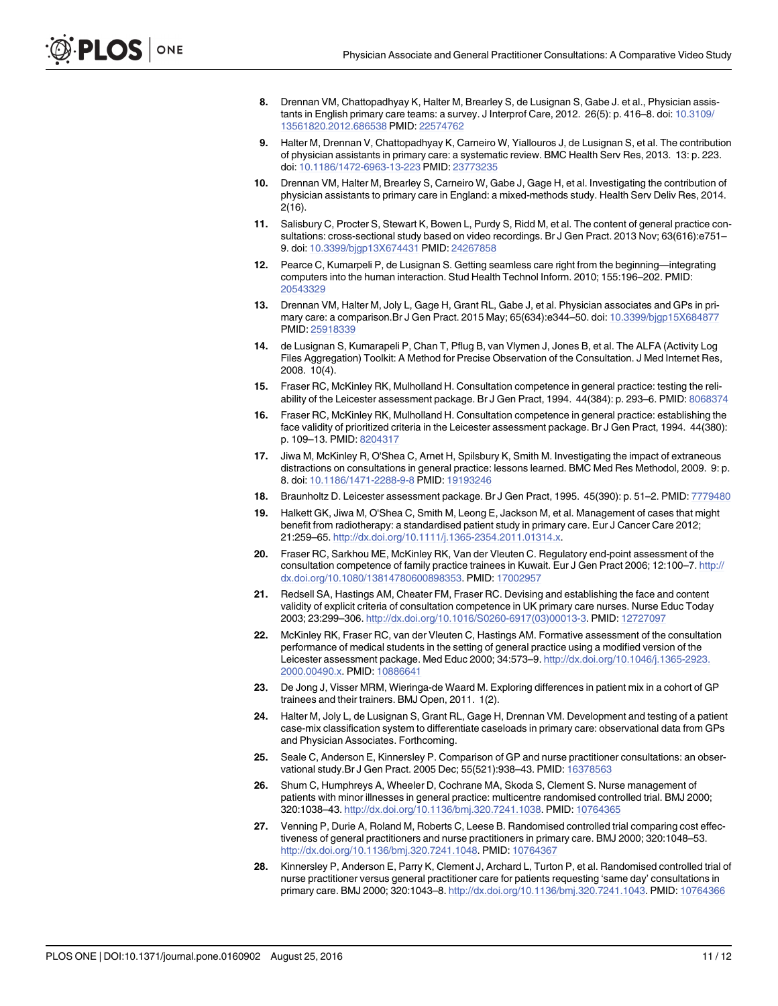- <span id="page-10-0"></span>[8.](#page-1-0) Drennan VM, Chattopadhyay K, Halter M, Brearley S, de Lusignan S, Gabe J. et al., Physician assistants in English primary care teams: a survey. J Interprof Care, 2012. 26(5): p. 416–8. doi: [10.3109/](http://dx.doi.org/10.3109/13561820.2012.686538) [13561820.2012.686538](http://dx.doi.org/10.3109/13561820.2012.686538) PMID: [22574762](http://www.ncbi.nlm.nih.gov/pubmed/22574762)
- [9.](#page-1-0) Halter M, Drennan V, Chattopadhyay K, Carneiro W, Yiallouros J, de Lusignan S, et al. The contribution of physician assistants in primary care: a systematic review. BMC Health Serv Res, 2013. 13: p. 223. doi: [10.1186/1472-6963-13-223](http://dx.doi.org/10.1186/1472-6963-13-223) PMID: [23773235](http://www.ncbi.nlm.nih.gov/pubmed/23773235)
- [10.](#page-1-0) Drennan VM, Halter M, Brearley S, Carneiro W, Gabe J, Gage H, et al. Investigating the contribution of physician assistants to primary care in England: a mixed-methods study. Health Serv Deliv Res, 2014. 2(16).
- [11.](#page-1-0) Salisbury C, Procter S, Stewart K, Bowen L, Purdy S, Ridd M, et al. The content of general practice consultations: cross-sectional study based on video recordings. Br J Gen Pract. 2013 Nov; 63(616):e751– 9. doi: [10.3399/bjgp13X674431](http://dx.doi.org/10.3399/bjgp13X674431) PMID: [24267858](http://www.ncbi.nlm.nih.gov/pubmed/24267858)
- [12.](#page-1-0) Pearce C, Kumarpeli P, de Lusignan S. Getting seamless care right from the beginning—integrating computers into the human interaction. Stud Health Technol Inform. 2010; 155:196–202. PMID: [20543329](http://www.ncbi.nlm.nih.gov/pubmed/20543329)
- [13.](#page-2-0) Drennan VM, Halter M, Joly L, Gage H, Grant RL, Gabe J, et al. Physician associates and GPs in primary care: a comparison.Br J Gen Pract. 2015 May; 65(634):e344–50. doi: [10.3399/bjgp15X684877](http://dx.doi.org/10.3399/bjgp15X684877) PMID: [25918339](http://www.ncbi.nlm.nih.gov/pubmed/25918339)
- [14.](#page-2-0) de Lusignan S, Kumarapeli P, Chan T, Pflug B, van Vlymen J, Jones B, et al. The ALFA (Activity Log Files Aggregation) Toolkit: A Method for Precise Observation of the Consultation. J Med Internet Res, 2008. 10(4).
- [15.](#page-2-0) Fraser RC, McKinley RK, Mulholland H. Consultation competence in general practice: testing the reli-ability of the Leicester assessment package. Br J Gen Pract, 1994. 44(384): p. 293-6. PMID: [8068374](http://www.ncbi.nlm.nih.gov/pubmed/8068374)
- 16. Fraser RC, McKinley RK, Mulholland H. Consultation competence in general practice: establishing the face validity of prioritized criteria in the Leicester assessment package. Br J Gen Pract, 1994. 44(380): p. 109–13. PMID: [8204317](http://www.ncbi.nlm.nih.gov/pubmed/8204317)
- [17.](#page-2-0) Jiwa M, McKinley R, O'Shea C, Arnet H, Spilsbury K, Smith M. Investigating the impact of extraneous distractions on consultations in general practice: lessons learned. BMC Med Res Methodol, 2009. 9: p. 8. doi: [10.1186/1471-2288-9-8](http://dx.doi.org/10.1186/1471-2288-9-8) PMID: [19193246](http://www.ncbi.nlm.nih.gov/pubmed/19193246)
- [18.](#page-2-0) Braunholtz D. Leicester assessment package. Br J Gen Pract, 1995. 45(390): p. 51–2. PMID: [7779480](http://www.ncbi.nlm.nih.gov/pubmed/7779480)
- [19.](#page-2-0) Halkett GK, Jiwa M, O'Shea C, Smith M, Leong E, Jackson M, et al. Management of cases that might benefit from radiotherapy: a standardised patient study in primary care. Eur J Cancer Care 2012; 21:259–65. <http://dx.doi.org/10.1111/j.1365-2354.2011.01314.x>.
- [20.](#page-2-0) Fraser RC, Sarkhou ME, McKinley RK, Van der Vleuten C. Regulatory end-point assessment of the consultation competence of family practice trainees in Kuwait. Eur J Gen Pract 2006; 12:100-7. [http://](http://dx.doi.org/10.1080/13814780600898353) [dx.doi.org/10.1080/13814780600898353](http://dx.doi.org/10.1080/13814780600898353). PMID: [17002957](http://www.ncbi.nlm.nih.gov/pubmed/17002957)
- [21.](#page-2-0) Redsell SA, Hastings AM, Cheater FM, Fraser RC. Devising and establishing the face and content validity of explicit criteria of consultation competence in UK primary care nurses. Nurse Educ Today 2003; 23:299–306. [http://dx.doi.org/10.1016/S0260-6917\(03\)00013-3](http://dx.doi.org/10.1016/S0260-6917(03)00013-3). PMID: [12727097](http://www.ncbi.nlm.nih.gov/pubmed/12727097)
- [22.](#page-2-0) McKinley RK, Fraser RC, van der Vleuten C, Hastings AM. Formative assessment of the consultation performance of medical students in the setting of general practice using a modified version of the Leicester assessment package. Med Educ 2000; 34:573–9. [http://dx.doi.org/10.1046/j.1365-2923.](http://dx.doi.org/10.1046/j.1365-2923.2000.00490.x) [2000.00490.x.](http://dx.doi.org/10.1046/j.1365-2923.2000.00490.x) PMID: [10886641](http://www.ncbi.nlm.nih.gov/pubmed/10886641)
- [23.](#page-4-0) De Jong J, Visser MRM, Wieringa-de Waard M. Exploring differences in patient mix in a cohort of GP trainees and their trainers. BMJ Open, 2011. 1(2).
- [24.](#page-4-0) Halter M, Joly L, de Lusignan S, Grant RL, Gage H, Drennan VM. Development and testing of a patient case-mix classification system to differentiate caseloads in primary care: observational data from GPs and Physician Associates. Forthcoming.
- [25.](#page-7-0) Seale C, Anderson E, Kinnersley P. Comparison of GP and nurse practitioner consultations: an observational study.Br J Gen Pract. 2005 Dec; 55(521):938–43. PMID: [16378563](http://www.ncbi.nlm.nih.gov/pubmed/16378563)
- [26.](#page-7-0) Shum C, Humphreys A, Wheeler D, Cochrane MA, Skoda S, Clement S. Nurse management of patients with minor illnesses in general practice: multicentre randomised controlled trial. BMJ 2000; 320:1038–43. [http://dx.doi.org/10.1136/bmj.320.7241.1038.](http://dx.doi.org/10.1136/bmj.320.7241.1038) PMID: [10764365](http://www.ncbi.nlm.nih.gov/pubmed/10764365)
- 27. Venning P, Durie A, Roland M, Roberts C, Leese B. Randomised controlled trial comparing cost effectiveness of general practitioners and nurse practitioners in primary care. BMJ 2000; 320:1048–53. [http://dx.doi.org/10.1136/bmj.320.7241.1048.](http://dx.doi.org/10.1136/bmj.320.7241.1048) PMID: [10764367](http://www.ncbi.nlm.nih.gov/pubmed/10764367)
- 28. Kinnersley P, Anderson E, Parry K, Clement J, Archard L, Turton P, et al. Randomised controlled trial of nurse practitioner versus general practitioner care for patients requesting 'same day' consultations in primary care. BMJ 2000; 320:1043–8. [http://dx.doi.org/10.1136/bmj.320.7241.1043.](http://dx.doi.org/10.1136/bmj.320.7241.1043) PMID: [10764366](http://www.ncbi.nlm.nih.gov/pubmed/10764366)